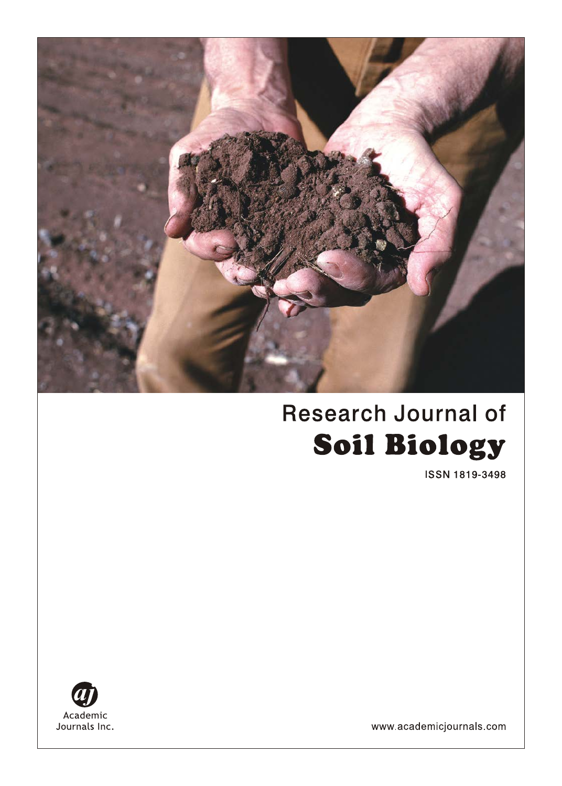

# **Research Journal of Soil Biology**

**ISSN 1819-3498** 



www.academicjournals.com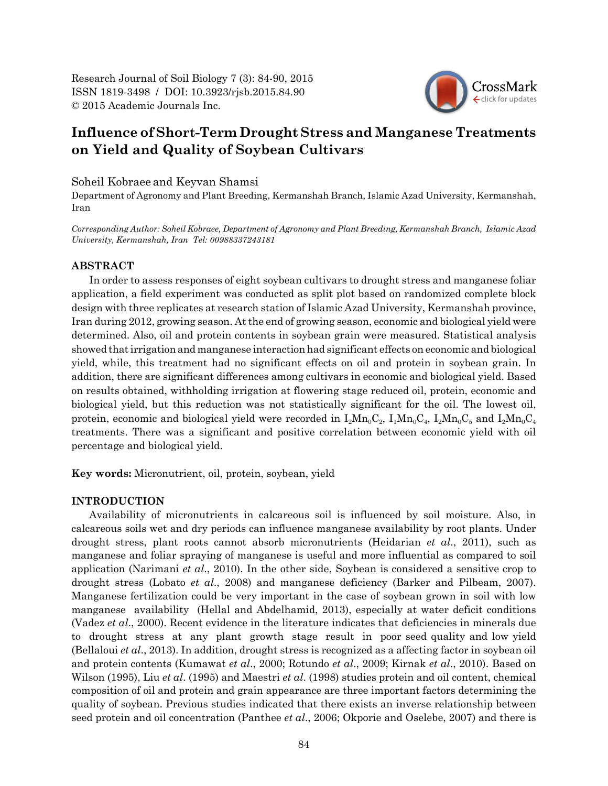Research Journal of Soil Biology 7 (3): 84-90, 2015 ISSN 1819-3498 / DOI: 10.3923/rjsb.2015.84.90 © 2015 Academic Journals Inc.



# **Influence of Short-Term Drought Stress and Manganese Treatments on Yield and Quality of Soybean Cultivars**

Soheil Kobraee and Keyvan Shamsi

Department of Agronomy and Plant Breeding, Kermanshah Branch, Islamic Azad University, Kermanshah, Iran

*Corresponding Author: Soheil Kobraee, Department of Agronomy and Plant Breeding, Kermanshah Branch, Islamic Azad University, Kermanshah, Iran Tel: 00988337243181* 

# **ABSTRACT**

In order to assess responses of eight soybean cultivars to drought stress and manganese foliar application, a field experiment was conducted as split plot based on randomized complete block design with three replicates at research station of Islamic Azad University, Kermanshah province, Iran during 2012, growing season. At the end of growing season, economic and biological yield were determined. Also, oil and protein contents in soybean grain were measured. Statistical analysis showed that irrigation and manganese interaction had significant effects on economic and biological yield, while, this treatment had no significant effects on oil and protein in soybean grain. In addition, there are significant differences among cultivars in economic and biological yield. Based on results obtained, withholding irrigation at flowering stage reduced oil, protein, economic and biological yield, but this reduction was not statistically significant for the oil. The lowest oil, protein, economic and biological yield were recorded in  $I_2Mn_0C_2$ ,  $I_1Mn_0C_4$ ,  $I_2Mn_0C_5$  and  $I_2Mn_0C_4$ treatments. There was a significant and positive correlation between economic yield with oil percentage and biological yield.

**Key words:** Micronutrient, oil, protein, soybean, yield

# **INTRODUCTION**

Availability of micronutrients in calcareous soil is influenced by soil moisture. Also, in calcareous soils wet and dry periods can influence manganese availability by root plants. Under drought stress, plant roots cannot absorb micronutrients (Heidarian *et al*., 2011), such as manganese and foliar spraying of manganese is useful and more influential as compared to soil application (Narimani *et al*., 2010). In the other side, Soybean is considered a sensitive crop to drought stress (Lobato *et al*., 2008) and manganese deficiency (Barker and Pilbeam, 2007). Manganese fertilization could be very important in the case of soybean grown in soil with low manganese availability (Hellal and Abdelhamid, 2013), especially at water deficit conditions (Vadez *et al*., 2000). Recent evidence in the literature indicates that deficiencies in minerals due to drought stress at any plant growth stage result in poor seed quality and low yield (Bellaloui *et al*., 2013). In addition, drought stress is recognized as a affecting factor in soybean oil and protein contents (Kumawat *et al*., 2000; Rotundo *et al*., 2009; Kirnak *et al*., 2010). Based on Wilson (1995), Liu *et al*. (1995) and Maestri *et al*. (1998) studies protein and oil content, chemical composition of oil and protein and grain appearance are three important factors determining the quality of soybean. Previous studies indicated that there exists an inverse relationship between seed protein and oil concentration (Panthee *et al*., 2006; Okporie and Oselebe, 2007) and there is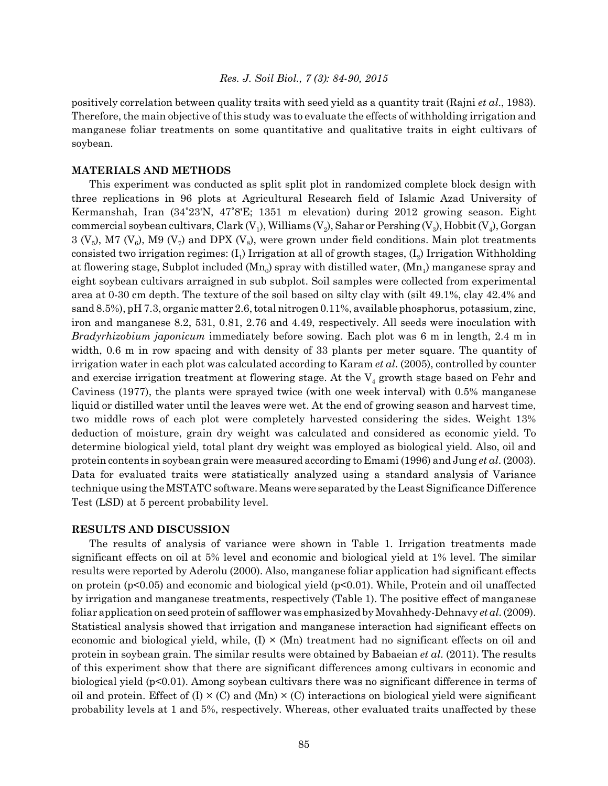positively correlation between quality traits with seed yield as a quantity trait (Rajni *et al*., 1983). Therefore, the main objective of this study was to evaluate the effects of withholding irrigation and manganese foliar treatments on some quantitative and qualitative traits in eight cultivars of soybean.

# **MATERIALS AND METHODS**

This experiment was conducted as split split plot in randomized complete block design with three replications in 96 plots at Agricultural Research field of Islamic Azad University of Kermanshah, Iran (34°23'N, 47°8'E; 1351 m elevation) during 2012 growing season. Eight commercial soybean cultivars, Clark  $(V_1)$ , Williams  $(V_2)$ , Sahar or Pershing  $(V_3)$ , Hobbit  $(V_4)$ , Gorgan  $3$  (V<sub>5</sub>), M7 (V<sub>6</sub>), M9 (V<sub>7</sub>) and DPX (V<sub>8</sub>), were grown under field conditions. Main plot treatments consisted two irrigation regimes:  $(I_1)$  Irrigation at all of growth stages,  $(I_2)$  Irrigation Withholding at flowering stage, Subplot included  $(Mn_0)$  spray with distilled water,  $(Mn_1)$  manganese spray and eight soybean cultivars arraigned in sub subplot. Soil samples were collected from experimental area at 0-30 cm depth. The texture of the soil based on silty clay with (silt 49.1%, clay 42.4% and sand 8.5%), pH 7.3, organic matter 2.6, total nitrogen 0.11%, available phosphorus, potassium, zinc, iron and manganese 8.2, 531, 0.81, 2.76 and 4.49, respectively. All seeds were inoculation with *Bradyrhizobium japonicum* immediately before sowing. Each plot was 6 m in length, 2.4 m in width, 0.6 m in row spacing and with density of 33 plants per meter square. The quantity of irrigation water in each plot was calculated according to Karam *et al*. (2005), controlled by counter and exercise irrigation treatment at flowering stage. At the  $V_4$  growth stage based on Fehr and Caviness (1977), the plants were sprayed twice (with one week interval) with 0.5% manganese liquid or distilled water until the leaves were wet. At the end of growing season and harvest time, two middle rows of each plot were completely harvested considering the sides. Weight 13% deduction of moisture, grain dry weight was calculated and considered as economic yield. To determine biological yield, total plant dry weight was employed as biological yield. Also, oil and protein contents in soybean grain were measured according to Emami (1996) and Jung *et al*. (2003). Data for evaluated traits were statistically analyzed using a standard analysis of Variance technique using the MSTATC software. Means were separated by the Least Significance Difference Test (LSD) at 5 percent probability level.

# **RESULTS AND DISCUSSION**

The results of analysis of variance were shown in Table 1. Irrigation treatments made significant effects on oil at 5% level and economic and biological yield at 1% level. The similar results were reported by Aderolu (2000). Also, manganese foliar application had significant effects on protein  $(p<0.05)$  and economic and biological yield  $(p<0.01)$ . While, Protein and oil unaffected by irrigation and manganese treatments, respectively (Table 1). The positive effect of manganese foliar application on seed protein of safflower was emphasized by Movahhedy-Dehnavy *et al*. (2009). Statistical analysis showed that irrigation and manganese interaction had significant effects on economic and biological yield, while,  $(I) \times (Mn)$  treatment had no significant effects on oil and protein in soybean grain. The similar results were obtained by Babaeian *et al*. (2011). The results of this experiment show that there are significant differences among cultivars in economic and biological yield (p<0.01). Among soybean cultivars there was no significant difference in terms of oil and protein. Effect of  $(I) \times (C)$  and  $(Mn) \times (C)$  interactions on biological yield were significant probability levels at 1 and 5%, respectively. Whereas, other evaluated traits unaffected by these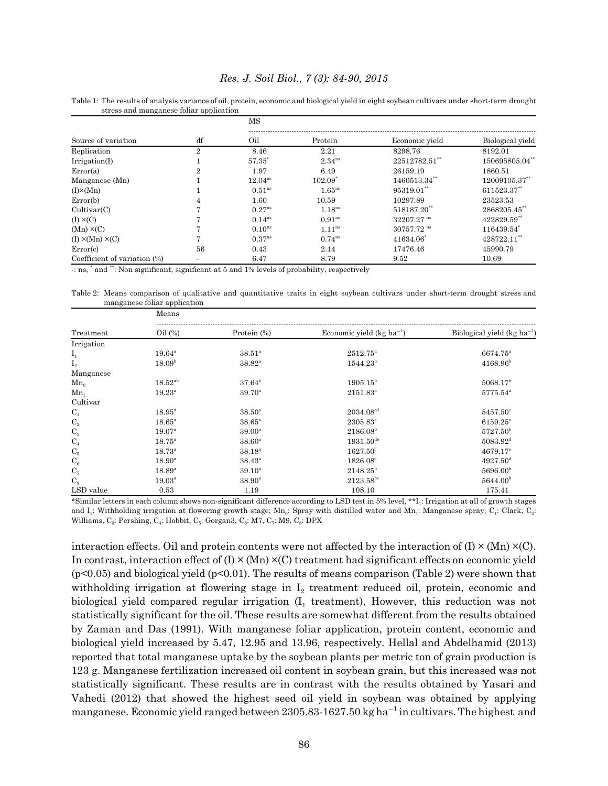Table 1: The results of analysis variance of oil, protein, economic and biological yield in eight soybean cultivars under short-term drought stress and manganese foliar application

|                              | df                       | МS                   |                      |                          |                  |  |
|------------------------------|--------------------------|----------------------|----------------------|--------------------------|------------------|--|
| Source of variation          |                          | Oil                  | Protein              | Economic vield           | Biological yield |  |
| Replication                  | $\overline{2}$           | 8.46                 | 2.21                 | 8298.76                  | 8192.01          |  |
| Irrigation(I)                |                          | 57.35                | $2.34^{ns}$          | 22512782.51**            | 150695805.04**   |  |
| Error(a)                     | $\overline{2}$           | 1.97                 | 6.49                 | 26159.19                 | 1860.51          |  |
| Manganese (Mn)               |                          | $12.04^{ns}$         | $102.09^{\circ}$     | 1460513.34**             | 12009105.37**    |  |
| $(I)\times(Mn)$              |                          | $0.51$ <sup>ns</sup> | $1.65$ <sup>ns</sup> | 95319.01                 | 611523.37**      |  |
| Error(b)                     | 4                        | 1.60                 | 10.59                | 10297.89                 | 23523.53         |  |
| Cultivar(C)                  | 7                        | $0.27^{ns}$          | 1.18 <sup>ns</sup>   | 518187.20**              | 2868205.45**     |  |
| $(I) \times (C)$             | π                        | $0.14^{ns}$          | $0.91^{ns}$          | 32207.27 ns              | 422829.59**      |  |
| $(Mn) \times (C)$            | 7                        | $0.10^{ns}$          | $1.11^{ns}$          | $30757.72$ <sup>ns</sup> | 116439.54        |  |
| $(I) \times (Mn) \times (C)$ | 7                        | $0.37^{ns}$          | $0.74^{ns}$          | 41634.06                 | 428722.11"       |  |
| Error(c)                     | 56                       | 0.43                 | 2.14                 | 17476.46                 | 45990.79         |  |
| Coefficient of variation (%) | $\overline{\phantom{a}}$ | 6.47                 | 8.79                 | 9.52                     | 10.69            |  |

-: ns, \* and \*\*: Non significant, significant at 5 and 1% levels of probability, respectively

Means

Table 2: Means comparison of qualitative and quantitative traits in eight soybean cultivars under short-term drought stress and manganese foliar application

|                | 1110a119             |                    |                               |                                           |  |  |
|----------------|----------------------|--------------------|-------------------------------|-------------------------------------------|--|--|
| Treatment      | $\text{Oil}$ (%)     | Protein (%)        | Economic yield $(kg ha^{-1})$ | Biological yield ( $kg \text{ ha}^{-1}$ ) |  |  |
| Irrigation     |                      |                    |                               |                                           |  |  |
| $I_1$          | $19.64^{\circ}$      | $38.51^{\circ}$    | $2512.75^{\circ}$             | 6674.75 <sup>a</sup>                      |  |  |
| $\mathbf{I}_2$ | 18.09 <sup>b</sup>   | $38.82^{\rm a}$    | $1544.23^b$                   | $4168.96^{\rm b}$                         |  |  |
| Manganese      |                      |                    |                               |                                           |  |  |
| $Mn_0$         | $18.52^{ab}$         | $37.64^{\rm b}$    | $1905.15^{\rm b}$             | 5068.17 <sup>b</sup>                      |  |  |
| Mn,            | $19.23^{\rm a}$      | $39.70^{\rm a}$    | $2151.83^{\circ}$             | $5775.54^{\mathrm{a}}$                    |  |  |
| Cultivar       |                      |                    |                               |                                           |  |  |
| $C_1$          | $18.95^{\mathrm{a}}$ | $38.50^{\circ}$    | 2034.08 <sup>cd</sup>         | $5457.50^{\circ}$                         |  |  |
| C <sub>2</sub> | $18.65^{\mathrm{a}}$ | $38.65^{\circ}$    | $2305.83^{\circ}$             | $6159.25^{\circ}$                         |  |  |
| $\mathrm{C}_3$ | $19.07^{\rm a}$      | 39.00 <sup>a</sup> | $2186.08^b$                   | $5727.50^{\rm b}$                         |  |  |
| $C_4$          | $18.75^{\circ}$      | $38.60^{\circ}$    | $1931.50^{de}$                | $5083.92^{\rm d}$                         |  |  |
| $\mathrm{C}_5$ | $18.73^{\circ}$      | $38.18^{a}$        | $1627.50$ <sup>f</sup>        | $4679.17^{\circ}$                         |  |  |
| $\mathrm{C}_6$ | $18.90^{\mathrm{a}}$ | $38.43^{\circ}$    | $1826.08^{\circ}$             | $4927.50$ <sup>d</sup>                    |  |  |
| $C_7$          | $18.89^{\rm a}$      | $39.10^{\rm a}$    | $2148.25^{\rm b}$             | 5696.00 <sup>b</sup>                      |  |  |
| $C_{8}$        | $19.03^{\rm a}$      | $38.90^{\rm a}$    | $2123.58^{bc}$                | 5644.00 <sup>b</sup>                      |  |  |
| LSD value      | 0.53                 | 1.19               | 108.10                        | 175.41                                    |  |  |

\*Similar letters in each column shows non-significant difference according to LSD test in 5% level, \*\*I1: Irrigation at all of growth stages and I<sub>2</sub>: Withholding irrigation at flowering growth stage; Mn<sub>0</sub>: Spray with distilled water and Mn<sub>1</sub>: Manganese spray, C<sub>1</sub>: Clark, C<sub>2</sub>: Williams,  $C_3$ : Pershing,  $C_4$ : Hobbit,  $C_5$ : Gorgan3,  $C_6$ : M7,  $C_7$ : M9,  $C_8$ : DPX

interaction effects. Oil and protein contents were not affected by the interaction of  $(I) \times (Mn) \times (C)$ . In contrast, interaction effect of  $(I) \times (M_n) \times (C)$  treatment had significant effects on economic yield (p<0.05) and biological yield (p<0.01). The results of means comparison (Table 2) were shown that withholding irrigation at flowering stage in  $I_2$  treatment reduced oil, protein, economic and biological yield compared regular irrigation  $(I_1$  treatment), However, this reduction was not statistically significant for the oil. These results are somewhat different from the results obtained by Zaman and Das (1991). With manganese foliar application, protein content, economic and biological yield increased by 5.47, 12.95 and 13.96, respectively. Hellal and Abdelhamid (2013) reported that total manganese uptake by the soybean plants per metric ton of grain production is 123 g. Manganese fertilization increased oil content in soybean grain, but this increased was not statistically significant. These results are in contrast with the results obtained by Yasari and Vahedi (2012) that showed the highest seed oil yield in soybean was obtained by applying manganese. Economic yield ranged between  $2305.83 - 1627.50$  kg ha<sup>-1</sup> in cultivars. The highest and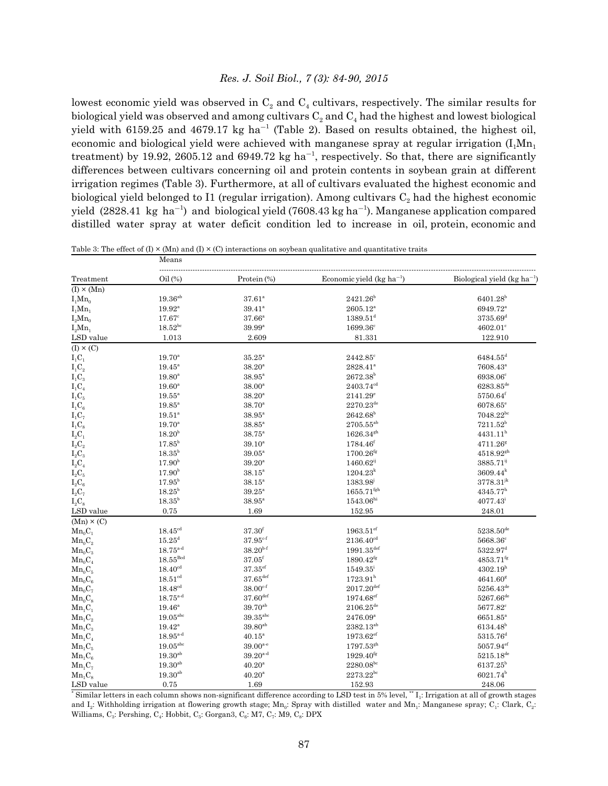lowest economic yield was observed in  $C_2$  and  $C_4$  cultivars, respectively. The similar results for biological yield was observed and among cultivars  $C_2$  and  $C_4$  had the highest and lowest biological yield with 6159.25 and 4679.17 kg ha<sup>-1</sup> (Table 2). Based on results obtained, the highest oil, economic and biological yield were achieved with manganese spray at regular irrigation  $(I_1Mn_1)$ treatment) by 19.92, 2605.12 and 6949.72 kg ha<sup>-1</sup>, respectively. So that, there are significantly differences between cultivars concerning oil and protein contents in soybean grain at different irrigation regimes (Table 3). Furthermore, at all of cultivars evaluated the highest economic and biological yield belonged to I1 (regular irrigation). Among cultivars  $C_2$  had the highest economic yield  $(2828.41 \text{ kg ha}^{-1})$  and biological yield  $(7608.43 \text{ kg ha}^{-1})$ . Manganese application compared distilled water spray at water deficit condition led to increase in oil, protein, economic and

|  |  | Table 3: The effect of (I) $\times$ (Mn) and (I) $\times$ (C) interactions on soybean qualitative and quantitative traits |  |
|--|--|---------------------------------------------------------------------------------------------------------------------------|--|
|--|--|---------------------------------------------------------------------------------------------------------------------------|--|

Means

| Economic yield (kg ha <sup>-1</sup> )<br>Oil(%)<br>Protein (%)<br>Treatment<br>$(I) \times (Mn)$<br>$19.36^{\rm ab}$<br>$6401.28^{b}$<br>$37.61^{\circ}$<br>$2421.26^{b}$<br>$I_1Mn_0$<br>$2605.12^{\mathrm{a}}$<br>6949.72 <sup>a</sup><br>$I_1Mn_1$<br>$19.92^{\rm a}$<br>$39.41^{\circ}$<br>$17.67$ <sup>c</sup><br>$37.66^{\circ}$<br>$1389.51^{\rm d}$<br>3735.69 <sup>d</sup><br>$I_2Mn_0$<br>$18.52^{bc}$<br>$39.99$ <sup>a</sup><br>1699.36 <sup>c</sup><br>$4602.01^{\circ}$<br>$I_2Mn_1$<br>LSD value<br>1.013<br>2.609<br>81.331<br>122.910<br>$(I) \times (C)$<br>$\mathbf{I}_1\mathbf{C}_1$<br>$19.70^{\circ}$<br>$35.25^a$<br>$2442.85^{\circ}$<br>$6484.55^{\rm d}$<br>$\mathrm{I}_1\mathrm{C}_2$<br>$19.45^{\mathrm{a}}$<br>$38.20^{\rm a}$<br>$2828.41^a$<br>7608.43 <sup>a</sup><br>$I_1C_3$<br>$2672.38^{b}$<br>6938.06 <sup>c</sup><br>$19.80^{\rm a}$<br>$38.95^{\mathrm{a}}$<br>$\mathrm{I}_1\mathrm{C}_4$<br>$2403.74^{ed}$<br>$6283.85^{\text{de}}$<br>$19.60^{\circ}$<br>$38.00^{\rm a}$<br>$38.20^{\rm a}$<br>$I_1C_5$<br>$19.55^{\circ}$<br>$2141.29^{\circ}$<br>$5750.64$ <sup>f</sup><br>$2270.23^{\text{de}}$<br>$\mathrm{I}_1\mathrm{C}_6$<br>$19.85^{\circ}$<br>$38.70^{\circ}$<br>6078.65 <sup>e</sup><br>$2642.68^{\rm b}$<br>$7048.22^{bc}$<br>$I_1C_7$<br>$19.51^{\circ}$<br>$38.95^{\circ}$<br>$I_1C_8$<br>$19.70^{\circ}$<br>$38.85^{\mathrm{a}}$<br>$2705.55^{ab}$<br>$7211.52^b$<br>$\mathbf{I}_2\mathbf{C}_1$<br>$18.20^{b}$<br>$38.75^{\circ}$<br>$1626.34$ <sup>gh</sup><br>4431.11 <sup>h</sup><br>$17.85^{\rm b}$<br>$\mathrm{I_{2}C_{2}}$<br>$1784.46^{\text{f}}$<br>$39.10^{a}$<br>$4711.26^{g}$<br>$18.35^{\rm b}$<br>$\mathrm{I_{2}C_{3}}$<br>$1700.26$ <sup>fg</sup><br>$4518.92^{gh}$<br>$39.05^{\circ}$<br>$\mathrm{I_{2}C_{4}}$<br>17.90 <sup>b</sup><br>$39.20^{\mathrm{a}}$<br>$1460.62^{i}$<br>3885.71 <sup>ij</sup><br>17.90 <sup>b</sup><br>$\rm L_2C_5$<br>$1204.23^{k}$<br>$3609.44^{k}$<br>$38.15^{\circ}$<br>$17.95^{\rm b}$<br>$3778.31^{jk}$<br>$\mathrm{I}_{2}\mathrm{C}_{6}$<br>$38.15^{\circ}$<br>1383.98 <sup>j</sup><br>$18.25^{\rm b}$<br>$\rm I_2C_7$<br>$1655.71^{\text{fgh}}$<br>$4345.77^h$<br>$39.25^{\circ}$<br>$18.35^{b}$<br>$38.95^{\mathrm{a}}$<br>$1543.06^{\rm hi}$<br>$4077.43^{\rm i}$<br>$I_2C_8$<br>0.75<br>1.69<br>152.95<br>LSD value<br>248.01<br>$(Mn) \times (C)$<br>$18.45^{\text{cd}}$<br>37.30 <sup>f</sup><br>$1963.51$ <sup>ef</sup><br>$Mn_0C_1$<br>$5238.50^{\rm de}$<br>$15.25^{\rm d}$<br>$37.95^{\text{c-f}}$<br>$2136.40^{cd}$<br>$5668.36^{\circ}$<br>$Mn_0C_2$<br>$18.75^{a-d}$<br>$38.20^{b-f}$<br>$5322.97$ <sup>d</sup><br>$1991.35^{\text{def}}$<br>$Mn_0C_3$<br>$18.55$ <sup>Bcd</sup><br>$37.05^{\rm f}$<br>$4853.71$ <sup>fg</sup><br>$Mn_0C_4$<br>$1890.42^{fg}$<br>$18.40^{cd}$<br>$37.35$ ef<br>$1549.35^{\rm i}$<br>4302.19 <sup>h</sup><br>$Mn_0C_5$<br>$37.65$ <sup>def</sup><br>18.51 <sup>cd</sup><br>$1723.91^h$<br>$4641.60^{8}$<br>$Mn_0C_6$<br>$18.48^{cd}$<br>$38.00^{c-f}$<br>$2017.20$ <sup>def</sup><br>$5256.43^{\text{de}}$<br>$Mn_0C_7$<br>$37.60^{\rm def}$<br>$18.75^{a-d}$<br>$1974.68$ <sup>ef</sup><br>$5267.66^{de}$<br>$Mn_0C_8$<br>$39.70^{ab}$<br>$2106.25^{\text{de}}$<br>$19.46^{\rm a}$<br>5677.82 <sup>c</sup><br>$Mn_1C_1$<br>$19.05^{\rm abc}$<br>$39.35$ <sup>abc</sup><br>$2476.09^{\rm a}$<br>$Mn_1C_2$<br>6651.85 <sup>a</sup><br>$39.80^{ab}$<br>$2382.13^{\rm ab}$<br>$19.42^{\rm a}$<br>$6134.48^{b}$<br>$Mn_1C_3$<br>$18.95^{\rm a\text{-}d}$<br>$1973.62$ <sup>ef</sup><br>$5315.76^{\rm d}$<br>$40.15^{\rm a}$<br>$Mn_1C_4$<br>$19.05$ <sup>abc</sup><br>$5057.94$ <sup>ef</sup><br>$39.00^{a-e}$<br>$1797.53^{gh}$<br>$Mn_1C_5$<br>$19.30^{ab}$<br>$39.20^{a-d}$<br>$1929.40^{fg}$<br>$5215.18^{de}$<br>$Mn_1C_6$<br>$19.30^{ab}$<br>$2280.08^{bc}$<br>$6137.25^{\rm b}$<br>$40.20^{\rm a}$<br>$Mn_1C_7$<br>$19.30^{ab}$<br>$2273.22^{bc}$<br>$6021.74^{b}$<br>$40.20^{\rm a}$<br>$Mn_1C_8$<br>152.93<br>LSD value<br>0.75<br>1.69<br>248.06 |  |  |  |                                         |  |  |
|----------------------------------------------------------------------------------------------------------------------------------------------------------------------------------------------------------------------------------------------------------------------------------------------------------------------------------------------------------------------------------------------------------------------------------------------------------------------------------------------------------------------------------------------------------------------------------------------------------------------------------------------------------------------------------------------------------------------------------------------------------------------------------------------------------------------------------------------------------------------------------------------------------------------------------------------------------------------------------------------------------------------------------------------------------------------------------------------------------------------------------------------------------------------------------------------------------------------------------------------------------------------------------------------------------------------------------------------------------------------------------------------------------------------------------------------------------------------------------------------------------------------------------------------------------------------------------------------------------------------------------------------------------------------------------------------------------------------------------------------------------------------------------------------------------------------------------------------------------------------------------------------------------------------------------------------------------------------------------------------------------------------------------------------------------------------------------------------------------------------------------------------------------------------------------------------------------------------------------------------------------------------------------------------------------------------------------------------------------------------------------------------------------------------------------------------------------------------------------------------------------------------------------------------------------------------------------------------------------------------------------------------------------------------------------------------------------------------------------------------------------------------------------------------------------------------------------------------------------------------------------------------------------------------------------------------------------------------------------------------------------------------------------------------------------------------------------------------------------------------------------------------------------------------------------------------------------------------------------------------------------------------------------------------------------------------------------------------------------------------------------------------------------------------------------------------------------------------------------------------------------------------------------------------------------------------------------------------------------------------------------------------------------------------------------------------------------------------------------------------------------------------------------------------------------------------------------------------------------------------------------------------------------------------------------------------------------------------------------------------------------|--|--|--|-----------------------------------------|--|--|
|                                                                                                                                                                                                                                                                                                                                                                                                                                                                                                                                                                                                                                                                                                                                                                                                                                                                                                                                                                                                                                                                                                                                                                                                                                                                                                                                                                                                                                                                                                                                                                                                                                                                                                                                                                                                                                                                                                                                                                                                                                                                                                                                                                                                                                                                                                                                                                                                                                                                                                                                                                                                                                                                                                                                                                                                                                                                                                                                                                                                                                                                                                                                                                                                                                                                                                                                                                                                                                                                                                                                                                                                                                                                                                                                                                                                                                                                                                                                                                                                          |  |  |  | Biological yield (kg ha <sup>-1</sup> ) |  |  |
|                                                                                                                                                                                                                                                                                                                                                                                                                                                                                                                                                                                                                                                                                                                                                                                                                                                                                                                                                                                                                                                                                                                                                                                                                                                                                                                                                                                                                                                                                                                                                                                                                                                                                                                                                                                                                                                                                                                                                                                                                                                                                                                                                                                                                                                                                                                                                                                                                                                                                                                                                                                                                                                                                                                                                                                                                                                                                                                                                                                                                                                                                                                                                                                                                                                                                                                                                                                                                                                                                                                                                                                                                                                                                                                                                                                                                                                                                                                                                                                                          |  |  |  |                                         |  |  |
|                                                                                                                                                                                                                                                                                                                                                                                                                                                                                                                                                                                                                                                                                                                                                                                                                                                                                                                                                                                                                                                                                                                                                                                                                                                                                                                                                                                                                                                                                                                                                                                                                                                                                                                                                                                                                                                                                                                                                                                                                                                                                                                                                                                                                                                                                                                                                                                                                                                                                                                                                                                                                                                                                                                                                                                                                                                                                                                                                                                                                                                                                                                                                                                                                                                                                                                                                                                                                                                                                                                                                                                                                                                                                                                                                                                                                                                                                                                                                                                                          |  |  |  |                                         |  |  |
|                                                                                                                                                                                                                                                                                                                                                                                                                                                                                                                                                                                                                                                                                                                                                                                                                                                                                                                                                                                                                                                                                                                                                                                                                                                                                                                                                                                                                                                                                                                                                                                                                                                                                                                                                                                                                                                                                                                                                                                                                                                                                                                                                                                                                                                                                                                                                                                                                                                                                                                                                                                                                                                                                                                                                                                                                                                                                                                                                                                                                                                                                                                                                                                                                                                                                                                                                                                                                                                                                                                                                                                                                                                                                                                                                                                                                                                                                                                                                                                                          |  |  |  |                                         |  |  |
|                                                                                                                                                                                                                                                                                                                                                                                                                                                                                                                                                                                                                                                                                                                                                                                                                                                                                                                                                                                                                                                                                                                                                                                                                                                                                                                                                                                                                                                                                                                                                                                                                                                                                                                                                                                                                                                                                                                                                                                                                                                                                                                                                                                                                                                                                                                                                                                                                                                                                                                                                                                                                                                                                                                                                                                                                                                                                                                                                                                                                                                                                                                                                                                                                                                                                                                                                                                                                                                                                                                                                                                                                                                                                                                                                                                                                                                                                                                                                                                                          |  |  |  |                                         |  |  |
|                                                                                                                                                                                                                                                                                                                                                                                                                                                                                                                                                                                                                                                                                                                                                                                                                                                                                                                                                                                                                                                                                                                                                                                                                                                                                                                                                                                                                                                                                                                                                                                                                                                                                                                                                                                                                                                                                                                                                                                                                                                                                                                                                                                                                                                                                                                                                                                                                                                                                                                                                                                                                                                                                                                                                                                                                                                                                                                                                                                                                                                                                                                                                                                                                                                                                                                                                                                                                                                                                                                                                                                                                                                                                                                                                                                                                                                                                                                                                                                                          |  |  |  |                                         |  |  |
|                                                                                                                                                                                                                                                                                                                                                                                                                                                                                                                                                                                                                                                                                                                                                                                                                                                                                                                                                                                                                                                                                                                                                                                                                                                                                                                                                                                                                                                                                                                                                                                                                                                                                                                                                                                                                                                                                                                                                                                                                                                                                                                                                                                                                                                                                                                                                                                                                                                                                                                                                                                                                                                                                                                                                                                                                                                                                                                                                                                                                                                                                                                                                                                                                                                                                                                                                                                                                                                                                                                                                                                                                                                                                                                                                                                                                                                                                                                                                                                                          |  |  |  |                                         |  |  |
|                                                                                                                                                                                                                                                                                                                                                                                                                                                                                                                                                                                                                                                                                                                                                                                                                                                                                                                                                                                                                                                                                                                                                                                                                                                                                                                                                                                                                                                                                                                                                                                                                                                                                                                                                                                                                                                                                                                                                                                                                                                                                                                                                                                                                                                                                                                                                                                                                                                                                                                                                                                                                                                                                                                                                                                                                                                                                                                                                                                                                                                                                                                                                                                                                                                                                                                                                                                                                                                                                                                                                                                                                                                                                                                                                                                                                                                                                                                                                                                                          |  |  |  |                                         |  |  |
|                                                                                                                                                                                                                                                                                                                                                                                                                                                                                                                                                                                                                                                                                                                                                                                                                                                                                                                                                                                                                                                                                                                                                                                                                                                                                                                                                                                                                                                                                                                                                                                                                                                                                                                                                                                                                                                                                                                                                                                                                                                                                                                                                                                                                                                                                                                                                                                                                                                                                                                                                                                                                                                                                                                                                                                                                                                                                                                                                                                                                                                                                                                                                                                                                                                                                                                                                                                                                                                                                                                                                                                                                                                                                                                                                                                                                                                                                                                                                                                                          |  |  |  |                                         |  |  |
|                                                                                                                                                                                                                                                                                                                                                                                                                                                                                                                                                                                                                                                                                                                                                                                                                                                                                                                                                                                                                                                                                                                                                                                                                                                                                                                                                                                                                                                                                                                                                                                                                                                                                                                                                                                                                                                                                                                                                                                                                                                                                                                                                                                                                                                                                                                                                                                                                                                                                                                                                                                                                                                                                                                                                                                                                                                                                                                                                                                                                                                                                                                                                                                                                                                                                                                                                                                                                                                                                                                                                                                                                                                                                                                                                                                                                                                                                                                                                                                                          |  |  |  |                                         |  |  |
|                                                                                                                                                                                                                                                                                                                                                                                                                                                                                                                                                                                                                                                                                                                                                                                                                                                                                                                                                                                                                                                                                                                                                                                                                                                                                                                                                                                                                                                                                                                                                                                                                                                                                                                                                                                                                                                                                                                                                                                                                                                                                                                                                                                                                                                                                                                                                                                                                                                                                                                                                                                                                                                                                                                                                                                                                                                                                                                                                                                                                                                                                                                                                                                                                                                                                                                                                                                                                                                                                                                                                                                                                                                                                                                                                                                                                                                                                                                                                                                                          |  |  |  |                                         |  |  |
|                                                                                                                                                                                                                                                                                                                                                                                                                                                                                                                                                                                                                                                                                                                                                                                                                                                                                                                                                                                                                                                                                                                                                                                                                                                                                                                                                                                                                                                                                                                                                                                                                                                                                                                                                                                                                                                                                                                                                                                                                                                                                                                                                                                                                                                                                                                                                                                                                                                                                                                                                                                                                                                                                                                                                                                                                                                                                                                                                                                                                                                                                                                                                                                                                                                                                                                                                                                                                                                                                                                                                                                                                                                                                                                                                                                                                                                                                                                                                                                                          |  |  |  |                                         |  |  |
|                                                                                                                                                                                                                                                                                                                                                                                                                                                                                                                                                                                                                                                                                                                                                                                                                                                                                                                                                                                                                                                                                                                                                                                                                                                                                                                                                                                                                                                                                                                                                                                                                                                                                                                                                                                                                                                                                                                                                                                                                                                                                                                                                                                                                                                                                                                                                                                                                                                                                                                                                                                                                                                                                                                                                                                                                                                                                                                                                                                                                                                                                                                                                                                                                                                                                                                                                                                                                                                                                                                                                                                                                                                                                                                                                                                                                                                                                                                                                                                                          |  |  |  |                                         |  |  |
|                                                                                                                                                                                                                                                                                                                                                                                                                                                                                                                                                                                                                                                                                                                                                                                                                                                                                                                                                                                                                                                                                                                                                                                                                                                                                                                                                                                                                                                                                                                                                                                                                                                                                                                                                                                                                                                                                                                                                                                                                                                                                                                                                                                                                                                                                                                                                                                                                                                                                                                                                                                                                                                                                                                                                                                                                                                                                                                                                                                                                                                                                                                                                                                                                                                                                                                                                                                                                                                                                                                                                                                                                                                                                                                                                                                                                                                                                                                                                                                                          |  |  |  |                                         |  |  |
|                                                                                                                                                                                                                                                                                                                                                                                                                                                                                                                                                                                                                                                                                                                                                                                                                                                                                                                                                                                                                                                                                                                                                                                                                                                                                                                                                                                                                                                                                                                                                                                                                                                                                                                                                                                                                                                                                                                                                                                                                                                                                                                                                                                                                                                                                                                                                                                                                                                                                                                                                                                                                                                                                                                                                                                                                                                                                                                                                                                                                                                                                                                                                                                                                                                                                                                                                                                                                                                                                                                                                                                                                                                                                                                                                                                                                                                                                                                                                                                                          |  |  |  |                                         |  |  |
|                                                                                                                                                                                                                                                                                                                                                                                                                                                                                                                                                                                                                                                                                                                                                                                                                                                                                                                                                                                                                                                                                                                                                                                                                                                                                                                                                                                                                                                                                                                                                                                                                                                                                                                                                                                                                                                                                                                                                                                                                                                                                                                                                                                                                                                                                                                                                                                                                                                                                                                                                                                                                                                                                                                                                                                                                                                                                                                                                                                                                                                                                                                                                                                                                                                                                                                                                                                                                                                                                                                                                                                                                                                                                                                                                                                                                                                                                                                                                                                                          |  |  |  |                                         |  |  |
|                                                                                                                                                                                                                                                                                                                                                                                                                                                                                                                                                                                                                                                                                                                                                                                                                                                                                                                                                                                                                                                                                                                                                                                                                                                                                                                                                                                                                                                                                                                                                                                                                                                                                                                                                                                                                                                                                                                                                                                                                                                                                                                                                                                                                                                                                                                                                                                                                                                                                                                                                                                                                                                                                                                                                                                                                                                                                                                                                                                                                                                                                                                                                                                                                                                                                                                                                                                                                                                                                                                                                                                                                                                                                                                                                                                                                                                                                                                                                                                                          |  |  |  |                                         |  |  |
|                                                                                                                                                                                                                                                                                                                                                                                                                                                                                                                                                                                                                                                                                                                                                                                                                                                                                                                                                                                                                                                                                                                                                                                                                                                                                                                                                                                                                                                                                                                                                                                                                                                                                                                                                                                                                                                                                                                                                                                                                                                                                                                                                                                                                                                                                                                                                                                                                                                                                                                                                                                                                                                                                                                                                                                                                                                                                                                                                                                                                                                                                                                                                                                                                                                                                                                                                                                                                                                                                                                                                                                                                                                                                                                                                                                                                                                                                                                                                                                                          |  |  |  |                                         |  |  |
|                                                                                                                                                                                                                                                                                                                                                                                                                                                                                                                                                                                                                                                                                                                                                                                                                                                                                                                                                                                                                                                                                                                                                                                                                                                                                                                                                                                                                                                                                                                                                                                                                                                                                                                                                                                                                                                                                                                                                                                                                                                                                                                                                                                                                                                                                                                                                                                                                                                                                                                                                                                                                                                                                                                                                                                                                                                                                                                                                                                                                                                                                                                                                                                                                                                                                                                                                                                                                                                                                                                                                                                                                                                                                                                                                                                                                                                                                                                                                                                                          |  |  |  |                                         |  |  |
|                                                                                                                                                                                                                                                                                                                                                                                                                                                                                                                                                                                                                                                                                                                                                                                                                                                                                                                                                                                                                                                                                                                                                                                                                                                                                                                                                                                                                                                                                                                                                                                                                                                                                                                                                                                                                                                                                                                                                                                                                                                                                                                                                                                                                                                                                                                                                                                                                                                                                                                                                                                                                                                                                                                                                                                                                                                                                                                                                                                                                                                                                                                                                                                                                                                                                                                                                                                                                                                                                                                                                                                                                                                                                                                                                                                                                                                                                                                                                                                                          |  |  |  |                                         |  |  |
|                                                                                                                                                                                                                                                                                                                                                                                                                                                                                                                                                                                                                                                                                                                                                                                                                                                                                                                                                                                                                                                                                                                                                                                                                                                                                                                                                                                                                                                                                                                                                                                                                                                                                                                                                                                                                                                                                                                                                                                                                                                                                                                                                                                                                                                                                                                                                                                                                                                                                                                                                                                                                                                                                                                                                                                                                                                                                                                                                                                                                                                                                                                                                                                                                                                                                                                                                                                                                                                                                                                                                                                                                                                                                                                                                                                                                                                                                                                                                                                                          |  |  |  |                                         |  |  |
|                                                                                                                                                                                                                                                                                                                                                                                                                                                                                                                                                                                                                                                                                                                                                                                                                                                                                                                                                                                                                                                                                                                                                                                                                                                                                                                                                                                                                                                                                                                                                                                                                                                                                                                                                                                                                                                                                                                                                                                                                                                                                                                                                                                                                                                                                                                                                                                                                                                                                                                                                                                                                                                                                                                                                                                                                                                                                                                                                                                                                                                                                                                                                                                                                                                                                                                                                                                                                                                                                                                                                                                                                                                                                                                                                                                                                                                                                                                                                                                                          |  |  |  |                                         |  |  |
|                                                                                                                                                                                                                                                                                                                                                                                                                                                                                                                                                                                                                                                                                                                                                                                                                                                                                                                                                                                                                                                                                                                                                                                                                                                                                                                                                                                                                                                                                                                                                                                                                                                                                                                                                                                                                                                                                                                                                                                                                                                                                                                                                                                                                                                                                                                                                                                                                                                                                                                                                                                                                                                                                                                                                                                                                                                                                                                                                                                                                                                                                                                                                                                                                                                                                                                                                                                                                                                                                                                                                                                                                                                                                                                                                                                                                                                                                                                                                                                                          |  |  |  |                                         |  |  |
|                                                                                                                                                                                                                                                                                                                                                                                                                                                                                                                                                                                                                                                                                                                                                                                                                                                                                                                                                                                                                                                                                                                                                                                                                                                                                                                                                                                                                                                                                                                                                                                                                                                                                                                                                                                                                                                                                                                                                                                                                                                                                                                                                                                                                                                                                                                                                                                                                                                                                                                                                                                                                                                                                                                                                                                                                                                                                                                                                                                                                                                                                                                                                                                                                                                                                                                                                                                                                                                                                                                                                                                                                                                                                                                                                                                                                                                                                                                                                                                                          |  |  |  |                                         |  |  |
|                                                                                                                                                                                                                                                                                                                                                                                                                                                                                                                                                                                                                                                                                                                                                                                                                                                                                                                                                                                                                                                                                                                                                                                                                                                                                                                                                                                                                                                                                                                                                                                                                                                                                                                                                                                                                                                                                                                                                                                                                                                                                                                                                                                                                                                                                                                                                                                                                                                                                                                                                                                                                                                                                                                                                                                                                                                                                                                                                                                                                                                                                                                                                                                                                                                                                                                                                                                                                                                                                                                                                                                                                                                                                                                                                                                                                                                                                                                                                                                                          |  |  |  |                                         |  |  |
|                                                                                                                                                                                                                                                                                                                                                                                                                                                                                                                                                                                                                                                                                                                                                                                                                                                                                                                                                                                                                                                                                                                                                                                                                                                                                                                                                                                                                                                                                                                                                                                                                                                                                                                                                                                                                                                                                                                                                                                                                                                                                                                                                                                                                                                                                                                                                                                                                                                                                                                                                                                                                                                                                                                                                                                                                                                                                                                                                                                                                                                                                                                                                                                                                                                                                                                                                                                                                                                                                                                                                                                                                                                                                                                                                                                                                                                                                                                                                                                                          |  |  |  |                                         |  |  |
|                                                                                                                                                                                                                                                                                                                                                                                                                                                                                                                                                                                                                                                                                                                                                                                                                                                                                                                                                                                                                                                                                                                                                                                                                                                                                                                                                                                                                                                                                                                                                                                                                                                                                                                                                                                                                                                                                                                                                                                                                                                                                                                                                                                                                                                                                                                                                                                                                                                                                                                                                                                                                                                                                                                                                                                                                                                                                                                                                                                                                                                                                                                                                                                                                                                                                                                                                                                                                                                                                                                                                                                                                                                                                                                                                                                                                                                                                                                                                                                                          |  |  |  |                                         |  |  |
|                                                                                                                                                                                                                                                                                                                                                                                                                                                                                                                                                                                                                                                                                                                                                                                                                                                                                                                                                                                                                                                                                                                                                                                                                                                                                                                                                                                                                                                                                                                                                                                                                                                                                                                                                                                                                                                                                                                                                                                                                                                                                                                                                                                                                                                                                                                                                                                                                                                                                                                                                                                                                                                                                                                                                                                                                                                                                                                                                                                                                                                                                                                                                                                                                                                                                                                                                                                                                                                                                                                                                                                                                                                                                                                                                                                                                                                                                                                                                                                                          |  |  |  |                                         |  |  |
|                                                                                                                                                                                                                                                                                                                                                                                                                                                                                                                                                                                                                                                                                                                                                                                                                                                                                                                                                                                                                                                                                                                                                                                                                                                                                                                                                                                                                                                                                                                                                                                                                                                                                                                                                                                                                                                                                                                                                                                                                                                                                                                                                                                                                                                                                                                                                                                                                                                                                                                                                                                                                                                                                                                                                                                                                                                                                                                                                                                                                                                                                                                                                                                                                                                                                                                                                                                                                                                                                                                                                                                                                                                                                                                                                                                                                                                                                                                                                                                                          |  |  |  |                                         |  |  |
|                                                                                                                                                                                                                                                                                                                                                                                                                                                                                                                                                                                                                                                                                                                                                                                                                                                                                                                                                                                                                                                                                                                                                                                                                                                                                                                                                                                                                                                                                                                                                                                                                                                                                                                                                                                                                                                                                                                                                                                                                                                                                                                                                                                                                                                                                                                                                                                                                                                                                                                                                                                                                                                                                                                                                                                                                                                                                                                                                                                                                                                                                                                                                                                                                                                                                                                                                                                                                                                                                                                                                                                                                                                                                                                                                                                                                                                                                                                                                                                                          |  |  |  |                                         |  |  |
|                                                                                                                                                                                                                                                                                                                                                                                                                                                                                                                                                                                                                                                                                                                                                                                                                                                                                                                                                                                                                                                                                                                                                                                                                                                                                                                                                                                                                                                                                                                                                                                                                                                                                                                                                                                                                                                                                                                                                                                                                                                                                                                                                                                                                                                                                                                                                                                                                                                                                                                                                                                                                                                                                                                                                                                                                                                                                                                                                                                                                                                                                                                                                                                                                                                                                                                                                                                                                                                                                                                                                                                                                                                                                                                                                                                                                                                                                                                                                                                                          |  |  |  |                                         |  |  |
|                                                                                                                                                                                                                                                                                                                                                                                                                                                                                                                                                                                                                                                                                                                                                                                                                                                                                                                                                                                                                                                                                                                                                                                                                                                                                                                                                                                                                                                                                                                                                                                                                                                                                                                                                                                                                                                                                                                                                                                                                                                                                                                                                                                                                                                                                                                                                                                                                                                                                                                                                                                                                                                                                                                                                                                                                                                                                                                                                                                                                                                                                                                                                                                                                                                                                                                                                                                                                                                                                                                                                                                                                                                                                                                                                                                                                                                                                                                                                                                                          |  |  |  |                                         |  |  |
|                                                                                                                                                                                                                                                                                                                                                                                                                                                                                                                                                                                                                                                                                                                                                                                                                                                                                                                                                                                                                                                                                                                                                                                                                                                                                                                                                                                                                                                                                                                                                                                                                                                                                                                                                                                                                                                                                                                                                                                                                                                                                                                                                                                                                                                                                                                                                                                                                                                                                                                                                                                                                                                                                                                                                                                                                                                                                                                                                                                                                                                                                                                                                                                                                                                                                                                                                                                                                                                                                                                                                                                                                                                                                                                                                                                                                                                                                                                                                                                                          |  |  |  |                                         |  |  |
|                                                                                                                                                                                                                                                                                                                                                                                                                                                                                                                                                                                                                                                                                                                                                                                                                                                                                                                                                                                                                                                                                                                                                                                                                                                                                                                                                                                                                                                                                                                                                                                                                                                                                                                                                                                                                                                                                                                                                                                                                                                                                                                                                                                                                                                                                                                                                                                                                                                                                                                                                                                                                                                                                                                                                                                                                                                                                                                                                                                                                                                                                                                                                                                                                                                                                                                                                                                                                                                                                                                                                                                                                                                                                                                                                                                                                                                                                                                                                                                                          |  |  |  |                                         |  |  |
|                                                                                                                                                                                                                                                                                                                                                                                                                                                                                                                                                                                                                                                                                                                                                                                                                                                                                                                                                                                                                                                                                                                                                                                                                                                                                                                                                                                                                                                                                                                                                                                                                                                                                                                                                                                                                                                                                                                                                                                                                                                                                                                                                                                                                                                                                                                                                                                                                                                                                                                                                                                                                                                                                                                                                                                                                                                                                                                                                                                                                                                                                                                                                                                                                                                                                                                                                                                                                                                                                                                                                                                                                                                                                                                                                                                                                                                                                                                                                                                                          |  |  |  |                                         |  |  |
|                                                                                                                                                                                                                                                                                                                                                                                                                                                                                                                                                                                                                                                                                                                                                                                                                                                                                                                                                                                                                                                                                                                                                                                                                                                                                                                                                                                                                                                                                                                                                                                                                                                                                                                                                                                                                                                                                                                                                                                                                                                                                                                                                                                                                                                                                                                                                                                                                                                                                                                                                                                                                                                                                                                                                                                                                                                                                                                                                                                                                                                                                                                                                                                                                                                                                                                                                                                                                                                                                                                                                                                                                                                                                                                                                                                                                                                                                                                                                                                                          |  |  |  |                                         |  |  |
|                                                                                                                                                                                                                                                                                                                                                                                                                                                                                                                                                                                                                                                                                                                                                                                                                                                                                                                                                                                                                                                                                                                                                                                                                                                                                                                                                                                                                                                                                                                                                                                                                                                                                                                                                                                                                                                                                                                                                                                                                                                                                                                                                                                                                                                                                                                                                                                                                                                                                                                                                                                                                                                                                                                                                                                                                                                                                                                                                                                                                                                                                                                                                                                                                                                                                                                                                                                                                                                                                                                                                                                                                                                                                                                                                                                                                                                                                                                                                                                                          |  |  |  |                                         |  |  |
|                                                                                                                                                                                                                                                                                                                                                                                                                                                                                                                                                                                                                                                                                                                                                                                                                                                                                                                                                                                                                                                                                                                                                                                                                                                                                                                                                                                                                                                                                                                                                                                                                                                                                                                                                                                                                                                                                                                                                                                                                                                                                                                                                                                                                                                                                                                                                                                                                                                                                                                                                                                                                                                                                                                                                                                                                                                                                                                                                                                                                                                                                                                                                                                                                                                                                                                                                                                                                                                                                                                                                                                                                                                                                                                                                                                                                                                                                                                                                                                                          |  |  |  |                                         |  |  |
|                                                                                                                                                                                                                                                                                                                                                                                                                                                                                                                                                                                                                                                                                                                                                                                                                                                                                                                                                                                                                                                                                                                                                                                                                                                                                                                                                                                                                                                                                                                                                                                                                                                                                                                                                                                                                                                                                                                                                                                                                                                                                                                                                                                                                                                                                                                                                                                                                                                                                                                                                                                                                                                                                                                                                                                                                                                                                                                                                                                                                                                                                                                                                                                                                                                                                                                                                                                                                                                                                                                                                                                                                                                                                                                                                                                                                                                                                                                                                                                                          |  |  |  |                                         |  |  |
|                                                                                                                                                                                                                                                                                                                                                                                                                                                                                                                                                                                                                                                                                                                                                                                                                                                                                                                                                                                                                                                                                                                                                                                                                                                                                                                                                                                                                                                                                                                                                                                                                                                                                                                                                                                                                                                                                                                                                                                                                                                                                                                                                                                                                                                                                                                                                                                                                                                                                                                                                                                                                                                                                                                                                                                                                                                                                                                                                                                                                                                                                                                                                                                                                                                                                                                                                                                                                                                                                                                                                                                                                                                                                                                                                                                                                                                                                                                                                                                                          |  |  |  |                                         |  |  |
|                                                                                                                                                                                                                                                                                                                                                                                                                                                                                                                                                                                                                                                                                                                                                                                                                                                                                                                                                                                                                                                                                                                                                                                                                                                                                                                                                                                                                                                                                                                                                                                                                                                                                                                                                                                                                                                                                                                                                                                                                                                                                                                                                                                                                                                                                                                                                                                                                                                                                                                                                                                                                                                                                                                                                                                                                                                                                                                                                                                                                                                                                                                                                                                                                                                                                                                                                                                                                                                                                                                                                                                                                                                                                                                                                                                                                                                                                                                                                                                                          |  |  |  |                                         |  |  |
|                                                                                                                                                                                                                                                                                                                                                                                                                                                                                                                                                                                                                                                                                                                                                                                                                                                                                                                                                                                                                                                                                                                                                                                                                                                                                                                                                                                                                                                                                                                                                                                                                                                                                                                                                                                                                                                                                                                                                                                                                                                                                                                                                                                                                                                                                                                                                                                                                                                                                                                                                                                                                                                                                                                                                                                                                                                                                                                                                                                                                                                                                                                                                                                                                                                                                                                                                                                                                                                                                                                                                                                                                                                                                                                                                                                                                                                                                                                                                                                                          |  |  |  |                                         |  |  |
|                                                                                                                                                                                                                                                                                                                                                                                                                                                                                                                                                                                                                                                                                                                                                                                                                                                                                                                                                                                                                                                                                                                                                                                                                                                                                                                                                                                                                                                                                                                                                                                                                                                                                                                                                                                                                                                                                                                                                                                                                                                                                                                                                                                                                                                                                                                                                                                                                                                                                                                                                                                                                                                                                                                                                                                                                                                                                                                                                                                                                                                                                                                                                                                                                                                                                                                                                                                                                                                                                                                                                                                                                                                                                                                                                                                                                                                                                                                                                                                                          |  |  |  |                                         |  |  |

 $^*$  Similar letters in each column shows non-significant difference according to LSD test in 5% level,  $^{**}$  I<sub>1</sub>: Irrigation at all of growth stages and I<sub>2</sub>: Withholding irrigation at flowering growth stage;  $Mn_0$ : Spray with distilled water and  $Mn_1$ : Manganese spray; C<sub>1</sub>: Clark, C<sub>2</sub>: Williams,  $C_3$ : Pershing,  $C_4$ : Hobbit,  $C_5$ : Gorgan3,  $C_6$ : M7,  $C_7$ : M9,  $C_8$ : DPX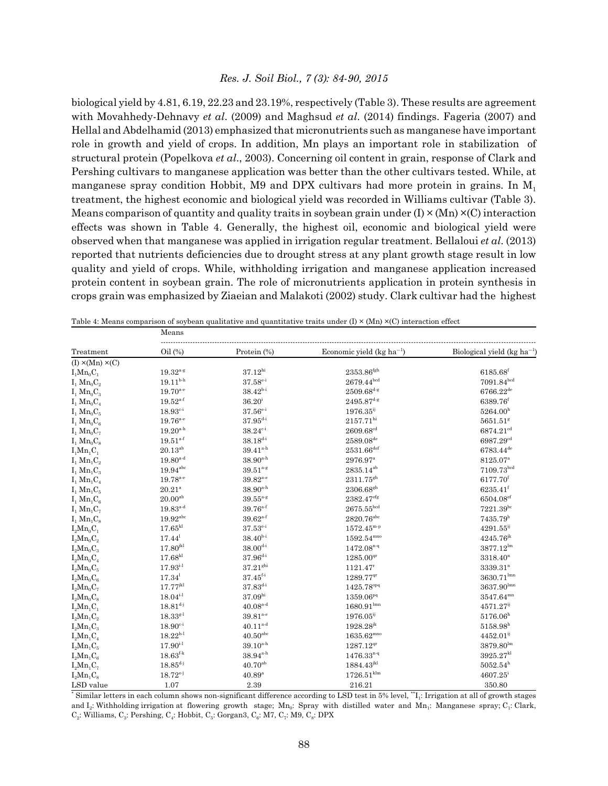biological yield by 4.81, 6.19, 22.23 and 23.19%, respectively (Table 3). These results are agreement with Movahhedy-Dehnavy *et al*. (2009) and Maghsud *et al*. (2014) findings. Fageria (2007) and Hellal and Abdelhamid (2013) emphasized that micronutrients such as manganese have important role in growth and yield of crops. In addition, Mn plays an important role in stabilization of structural protein (Popelkova *et al*., 2003). Concerning oil content in grain, response of Clark and Pershing cultivars to manganese application was better than the other cultivars tested. While, at manganese spray condition Hobbit, M9 and DPX cultivars had more protein in grains. In  $M_1$ treatment, the highest economic and biological yield was recorded in Williams cultivar (Table 3). Means comparison of quantity and quality traits in soybean grain under  $(I) \times (Mn) \times (C)$  interaction effects was shown in Table 4. Generally, the highest oil, economic and biological yield were observed when that manganese was applied in irrigation regular treatment. Bellaloui *et al*. (2013) reported that nutrients deficiencies due to drought stress at any plant growth stage result in low quality and yield of crops. While, withholding irrigation and manganese application increased protein content in soybean grain. The role of micronutrients application in protein synthesis in crops grain was emphasized by Ziaeian and Malakoti (2002) study. Clark cultivar had the highest

|                                      | Means                         |                                                                         |                               |                                 |  |  |
|--------------------------------------|-------------------------------|-------------------------------------------------------------------------|-------------------------------|---------------------------------|--|--|
| Treatment                            | Oil(%)                        | Protein (%)                                                             | Economic yield $(kg ha^{-1})$ | Biological yield $(kg ha^{-1})$ |  |  |
| $(I) \times (Mn) \times (C)$         |                               |                                                                         |                               |                                 |  |  |
| $I_1Mn_0C_1$                         | $19.32^{a.g}$                 | $37.12^{hi}$                                                            | $2353.86^{\rm fgh}$           | 6185.68 <sup>f</sup>            |  |  |
| $I_1$ $Mn_0C_2$                      | $19.11^{b-h}$                 | $37.58^{\text{e-i}}$                                                    | $2679.44^{bcd}$               | $7091.84^{bcd}$                 |  |  |
| $I_1$ Mn <sub>0</sub> $C_3$          | $19.70^{a-e}$                 | $38.42^{b-i}$                                                           | $2509.68^{d-g}$               | $6766.22^{de}$                  |  |  |
| $I_1$ $Mn_0C_4$                      | $19.52^{a-f}$                 | $36.20^{\rm i}$                                                         | $2495.87^{\mbox{\tiny d-g}}$  | 6389.76 <sup>f</sup>            |  |  |
| $I_1$ Mn <sub>0</sub> $C_5$          | $18.93^{c-i}$                 | $37.56^{e-i}$                                                           | $1976.35^{ij}$                | $5264.00^{h}$                   |  |  |
| $I_1$ Mn <sub>0</sub> $C_6$          | $19.76^{\mathrm{a\text{-}e}}$ | $37.95^{\textcolor{red}{\textbf{d}} \cdot \textcolor{red}{\textbf{i}}}$ | $2157.71^{\rm hi}$            | $5651.51^{8}$                   |  |  |
| $I_1$ Mn <sub>0</sub> C <sub>7</sub> | $19.20^{\rm a\cdot h}$        | $38.24^{c-i}$                                                           | $2609.68^{\rm cd}$            | $6874.21^{cd}$                  |  |  |
| $I_1$ Mn <sub>0</sub> $C_8$          | $19.51^{a-f}$                 | $38.18^{d-i}$                                                           | $2589.08^{de}$                | 6987.29 <sup>cd</sup>           |  |  |
| $I_1Mn_1C_1$                         | $20.13^{ab}$                  | $39.41^{a-h}$                                                           | $2531.66^{\rm def}$           | $6783.44^{\rm de}$              |  |  |
| $I_1$ Mn <sub>1</sub> $C_2$          | $19.80^{a-d}$                 | $38.90^{a-h}$                                                           | 2976.97 <sup>a</sup>          | 8125.07 <sup>a</sup>            |  |  |
| $I_1$ Mn <sub>1</sub> $C_3$          | $19.94^{\rm abc}$             | $39.51^{a-g}$                                                           | $2835.14^{ab}$                | 7109.73 <sup>bed</sup>          |  |  |
| $I_1$ Mn <sub>1</sub> $C_4$          | $19.78^{a-e}$                 | 39.82 <sup>a-e</sup>                                                    | 2311.75sh                     | 6177.70 <sup>f</sup>            |  |  |
| $I_1$ Mn <sub>1</sub> $C_5$          | $20.21^{\rm a}$               | $38.90^{a-h}$                                                           | $2306.68^{gh}$                | $6235.41^{f}$                   |  |  |
| $I_1$ Mn <sub>1</sub> $C_6$          | $20.00^{ab}$                  | $39.55^{a-g}$                                                           | 2382.47 <sup>eff</sup>        | $6504.08$ <sup>ef</sup>         |  |  |
| $I_1$ Mn <sub>1</sub> $C_7$          | $19.83^{a-d}$                 | $39.76^{a-f}$                                                           | $2675.55^{bcd}$               | $7221.39^{bc}$                  |  |  |
| $I_1$ Mn <sub>1</sub> $C_8$          | $19.92^{\text{abc}}$          | $39.62^{a-f}$                                                           | $2820.76$ <sup>abc</sup>      | 7435.79 <sup>b</sup>            |  |  |
| $I_2Mn_0C_1$                         | $17.65^{\text{kl}}$           | $37.53^{e-i}$                                                           | $1572.45^{m-p}$               | $4291.55^{ij}$                  |  |  |
| $I_2Mn_0C_2$                         | 17.44 <sup>1</sup>            | $38.40^{b-i}$                                                           | $1592.54^{\rm mno}$           | $4245.76^{jk}$                  |  |  |
| $I_2Mn_0C_3$                         | $17.80^{jkl}$                 | $38.00^{d \cdot i}$                                                     | $1472.08^{n-q}$               | $3877.12^{lm}$                  |  |  |
| $I_2Mn_0C_4$                         | 17.68 <sup>kl</sup>           | $37.96^{\scriptstyle \rm d.i}$                                          | $1285.00^{qr}$                | 3318.40 <sup>n</sup>            |  |  |
| $I_2Mn_0C_5$                         | $17.93^{i.1}$                 | 37.21 <sup>ghi</sup>                                                    | 1121.47 <sup>r</sup>          | 3339.31 <sup>n</sup>            |  |  |
| $I_2Mn_0C_6$                         | $17.34^1$                     | $37.45^{f.1}$                                                           | $1289.77$ <sup>qr</sup>       | $3630.71^{\text{lmn}}$          |  |  |
| $I_2Mn_0C_7$                         | $17.77^{jkl}$                 | $37.83^{d-i}$                                                           | 1425.78 <sup>opq</sup>        | $3637.90^{\rm lmn}$             |  |  |
| $I_2Mn_0C_8$                         | $18.04^{i.1}$                 | 37.09 <sup>hi</sup>                                                     | 1359.06 <sup>pq</sup>         | 3547.64mm                       |  |  |
| $L_2Mn_1C_1$                         | $18.81^{d-j}$                 | $40.08^{\text{a-d}}$                                                    | $1680.91^{\text{lmn}}$        | 4571.27 <sup>ij</sup>           |  |  |
| $I_2Mn_1C_2$                         | $18.33^{g.1}$                 | $39.81^{\scriptscriptstyle \rm a\text{-}e}$                             | $1976.05^{ij}$                | 5176.06 <sup>h</sup>            |  |  |
| $L_2Mn_1C_3$                         | $18.90^{c-i}$                 | $40.11^{\rm a\cdot d}$                                                  | $1928.28^{jk}$                | $5158.98^{h}$                   |  |  |
| $L_2Mn_1C_4$                         | $18.22^{h·l}$                 | $40.50$ <sup>abc</sup>                                                  | $1635.62^{mno}$               | $4452.01^{ij}$                  |  |  |
| $L_2Mn_1C_5$                         | $17.90^{i.1}$                 | $39.10^{a-h}$                                                           | $1287.12^{qr}$                | $3879.80^{\text{lm}}$           |  |  |
| $I_2Mn_1C_6$                         | $18.63^{\rm f\!}$             | $38.94^{\rm {a\cdot h}}$                                                | $1476.33^{n-q}$               | 3925.27 <sup>kl</sup>           |  |  |
| $L_2Mn_1C_7$                         | $18.85^{d-j}$                 | $40.70^{ab}$                                                            | $1884.43^{jkl}$               | $5052.54^h$                     |  |  |
| $L_2Mn_1C_8$                         | $18.72^{e-j}$                 | $40.89^{a}$                                                             | $1726.51^{\rm klm}$           | $4607.25^{\rm i}$               |  |  |
| LSD value                            | 1.07                          | 2.39                                                                    | 216.21                        | 350.80                          |  |  |

Table 4: Means comparison of soybean qualitative and quantitative traits under  $(I) \times (Mn) \times (C)$  interaction effect

\* Similar letters in each column shows non-significant difference according to LSD test in 5% level, \*\*I<sub>1</sub>: Irrigation at all of growth stages and I<sub>2</sub>: Withholding irrigation at flowering growth stage; Mn<sub>0</sub>: Spray with distilled water and Mn<sub>1</sub>: Manganese spray; C<sub>1</sub>: Clark,  $C_2$ : Williams,  $C_3$ : Pershing,  $C_4$ : Hobbit,  $C_5$ : Gorgan3,  $C_6$ : M7,  $C_7$ : M9,  $C_8$ : DPX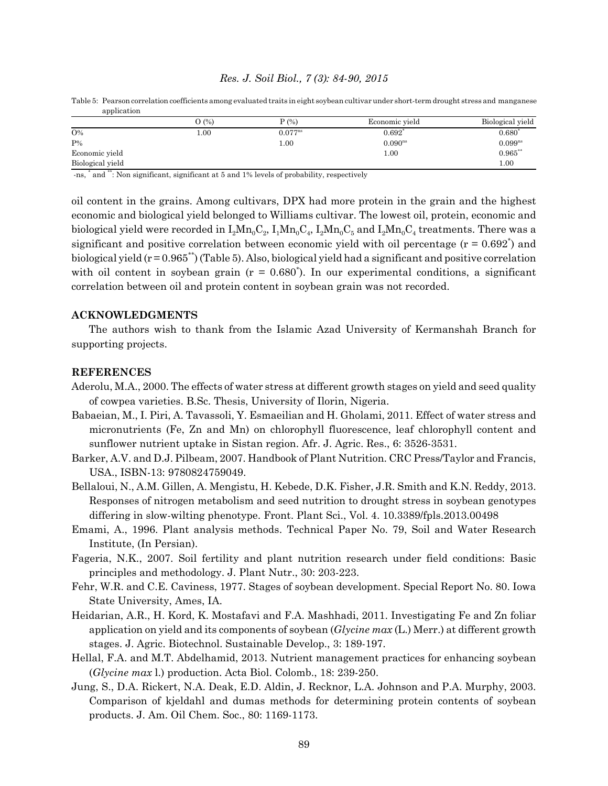|                  | O(%) | P(%)         | Economic yield | Biological yield |
|------------------|------|--------------|----------------|------------------|
| $O\%$            | 00.1 | $0.077^{ns}$ | 0.692          | 0.680            |
| $P\%$            |      | 1.00         | $0.090^{ns}$   | $0.099^{ns}$     |
| Economic yield   |      |              | 1.00           | $0.965***$       |
| Biological yield |      |              |                | 1.00             |

Table 5: Pearson correlation coefficients among evaluated traits in eight soybean cultivar under short-term drought stress and manganese application

-ns, \* and \*\*: Non significant, significant at 5 and 1% levels of probability, respectively

oil content in the grains. Among cultivars, DPX had more protein in the grain and the highest economic and biological yield belonged to Williams cultivar. The lowest oil, protein, economic and biological yield were recorded in  $I_2Mn_0C_2$ ,  $I_1Mn_0C_4$ ,  $I_2Mn_0C_5$  and  $I_2Mn_0C_4$  treatments. There was a significant and positive correlation between economic yield with oil percentage  $(r = 0.692^*)$  and biological yield  $(r = 0.965^{**})$  (Table 5). Also, biological yield had a significant and positive correlation with oil content in soybean grain  $(r = 0.680^*)$ . In our experimental conditions, a significant correlation between oil and protein content in soybean grain was not recorded.

# **ACKNOWLEDGMENTS**

The authors wish to thank from the Islamic Azad University of Kermanshah Branch for supporting projects.

#### **REFERENCES**

- Aderolu, M.A., 2000. The effects of water stress at different growth stages on yield and seed quality of cowpea varieties. B.Sc. Thesis, University of Ilorin, Nigeria.
- Babaeian, M., I. Piri, A. Tavassoli, Y. Esmaeilian and H. Gholami, 2011. Effect of water stress and micronutrients (Fe, Zn and Mn) on chlorophyll fluorescence, leaf chlorophyll content and sunflower nutrient uptake in Sistan region. Afr. J. Agric. Res., 6: 3526-3531.
- Barker, A.V. and D.J. Pilbeam, 2007. Handbook of Plant Nutrition. CRC Press/Taylor and Francis, USA., ISBN-13: 9780824759049.
- Bellaloui, N., A.M. Gillen, A. Mengistu, H. Kebede, D.K. Fisher, J.R. Smith and K.N. Reddy, 2013. Responses of nitrogen metabolism and seed nutrition to drought stress in soybean genotypes differing in slow-wilting phenotype. Front. Plant Sci., Vol. 4. 10.3389/fpls.2013.00498
- Emami, A., 1996. Plant analysis methods. Technical Paper No. 79, Soil and Water Research Institute, (In Persian).
- Fageria, N.K., 2007. Soil fertility and plant nutrition research under field conditions: Basic principles and methodology. J. Plant Nutr., 30: 203-223.
- Fehr, W.R. and C.E. Caviness, 1977. Stages of soybean development. Special Report No. 80. Iowa State University, Ames, IA.
- Heidarian, A.R., H. Kord, K. Mostafavi and F.A. Mashhadi, 2011. Investigating Fe and Zn foliar application on yield and its components of soybean (*Glycine max* (L.) Merr.) at different growth stages. J. Agric. Biotechnol. Sustainable Develop., 3: 189-197.
- Hellal, F.A. and M.T. Abdelhamid, 2013. Nutrient management practices for enhancing soybean (*Glycine max* l.) production. Acta Biol. Colomb., 18: 239-250.
- Jung, S., D.A. Rickert, N.A. Deak, E.D. Aldin, J. Recknor, L.A. Johnson and P.A. Murphy, 2003. Comparison of kjeldahl and dumas methods for determining protein contents of soybean products. J. Am. Oil Chem. Soc., 80: 1169-1173.